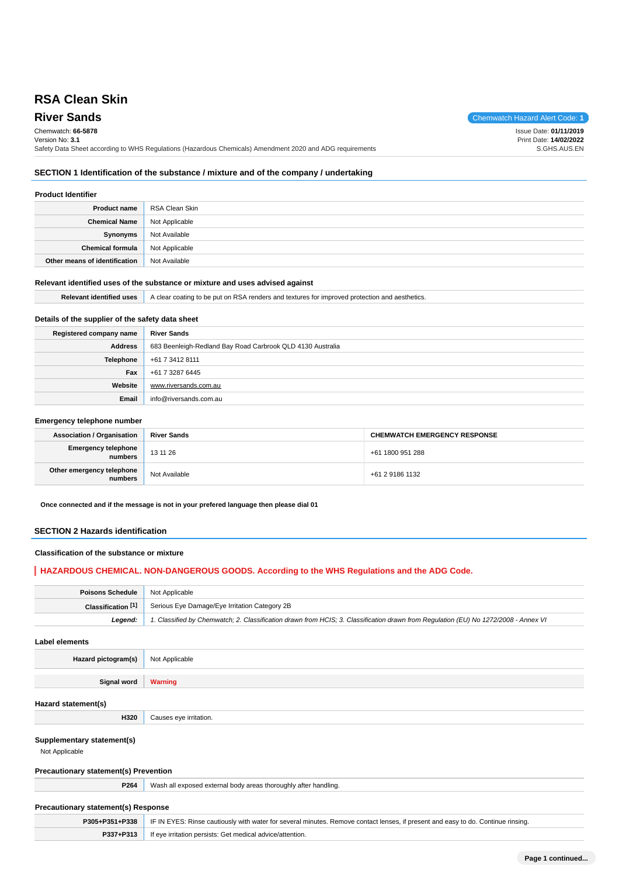# **RSA Clean Skin**

# Chemwatch: **66-5878**

Version No: **3.1**

**River Sands** Chemwatch Hazard Alert Code: 1 Issue Date: **01/11/2019**

Print Date: **14/02/2022** S.GHS.AUS.EN

Safety Data Sheet according to WHS Regulations (Hazardous Chemicals) Amendment 2020 and ADG requirements **SECTION 1 Identification of the substance / mixture and of the company / undertaking**

## **Product Identifier Product name** RSA Clean Skin **Chemical Name** Not Applicable **Synonyms** Not Available **Chemical formula** Not Applicable **Other means of identification** Not Available

#### **Relevant identified uses of the substance or mixture and uses advised against**

| <b>Relevant identified uses</b> | A clear coating to be put on RSA renders and textures for improved protection and aesthetics. |
|---------------------------------|-----------------------------------------------------------------------------------------------|
|---------------------------------|-----------------------------------------------------------------------------------------------|

### **Details of the supplier of the safety data sheet**

| Registered company name | <b>River Sands</b>                                         |
|-------------------------|------------------------------------------------------------|
| <b>Address</b>          | 683 Beenleigh-Redland Bay Road Carbrook QLD 4130 Australia |
| <b>Telephone</b>        | +61 7 3412 8111                                            |
| Fax                     | +61 7 3287 6445                                            |
| Website                 | www.riversands.com.au                                      |
| Email                   | info@riversands.com.au                                     |

#### **Emergency telephone number**

| <b>Association / Organisation</b>    | <b>River Sands</b> | <b>CHEMWATCH EMERGENCY RESPONSE</b> |  |
|--------------------------------------|--------------------|-------------------------------------|--|
| Emergency telephone<br>numbers       | 13 11 26           | +61 1800 951 288                    |  |
| Other emergency telephone<br>numbers | Not Available      | +61 2 9186 1132                     |  |

**Once connected and if the message is not in your prefered language then please dial 01**

### **SECTION 2 Hazards identification**

### **Classification of the substance or mixture**

### **HAZARDOUS CHEMICAL. NON-DANGEROUS GOODS. According to the WHS Regulations and the ADG Code.**

| Poisons Schedule   | Not Applicable                                                                                                                      |
|--------------------|-------------------------------------------------------------------------------------------------------------------------------------|
| Classification [1] | Serious Eye Damage/Eye Irritation Category 2B                                                                                       |
| Leaend:            | 1. Classified by Chemwatch; 2. Classification drawn from HCIS; 3. Classification drawn from Regulation (EU) No 1272/2008 - Annex VI |

**Label elements**

**Hazard pictogram(s)** Not Applicable

**Signal word Warning**

### **Hazard statement(s)**

**Supplementary statement(s)**

Not Applicable

### **Precautionary statement(s) Prevention**

**H320** Causes eye irritation.

**P264** Wash all exposed external body areas thoroughly after handling.

### **Precautionary statement(s) Response**

| P305+P351+P338 | F IN EYES: Rinse cautiously with water for several minutes. Remove contact lenses, if present and easy to do. Continue rinsing. |  |
|----------------|---------------------------------------------------------------------------------------------------------------------------------|--|
| P337+P313      | If eve irritation persists: Get medical advice/attention.                                                                       |  |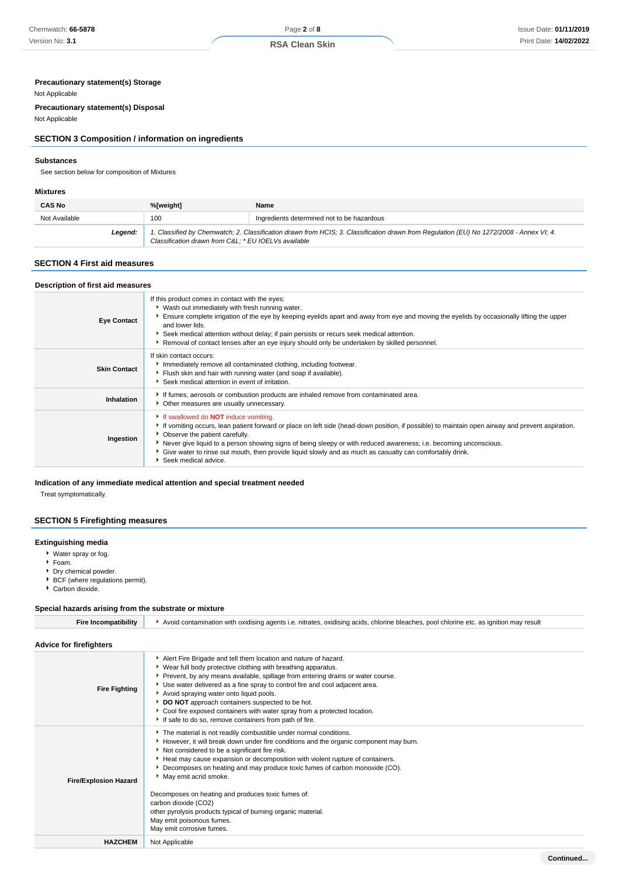## **RSA Clean Skin**

### **Precautionary statement(s) Storage**

### Not Applicable

**Precautionary statement(s) Disposal**

Not Applicable

### **SECTION 3 Composition / information on ingredients**

### **Substances**

See section below for composition of Mixtures

#### **Mixtures**

| <b>CAS No</b> | %[weight]<br>Name                                                                                                                                                                              |                                            |  |
|---------------|------------------------------------------------------------------------------------------------------------------------------------------------------------------------------------------------|--------------------------------------------|--|
| Not Available | 100                                                                                                                                                                                            | Ingredients determined not to be hazardous |  |
| Leaend:       | 1. Classified by Chemwatch; 2. Classification drawn from HCIS; 3. Classification drawn from Regulation (EU) No 1272/2008 - Annex VI; 4.<br>Classification drawn from C&L * EU IOELVs available |                                            |  |

### **SECTION 4 First aid measures**

| Description of first aid measures |                                                                                                                                                                                                                                                                                                                                                                                                                                                                                                  |
|-----------------------------------|--------------------------------------------------------------------------------------------------------------------------------------------------------------------------------------------------------------------------------------------------------------------------------------------------------------------------------------------------------------------------------------------------------------------------------------------------------------------------------------------------|
| <b>Eye Contact</b>                | If this product comes in contact with the eyes:<br>▶ Wash out immediately with fresh running water.<br>Ensure complete irrigation of the eye by keeping eyelids apart and away from eye and moving the eyelids by occasionally lifting the upper<br>and lower lids.<br>▶ Seek medical attention without delay; if pain persists or recurs seek medical attention.<br>Removal of contact lenses after an eye injury should only be undertaken by skilled personnel.                               |
| <b>Skin Contact</b>               | If skin contact occurs:<br>Immediately remove all contaminated clothing, including footwear.<br>Fiush skin and hair with running water (and soap if available).<br>Seek medical attention in event of irritation.                                                                                                                                                                                                                                                                                |
| Inhalation                        | If fumes, aerosols or combustion products are inhaled remove from contaminated area.<br>• Other measures are usually unnecessary.                                                                                                                                                                                                                                                                                                                                                                |
| Ingestion                         | If swallowed do <b>NOT</b> induce vomiting.<br>If vomiting occurs, lean patient forward or place on left side (head-down position, if possible) to maintain open airway and prevent aspiration.<br>• Observe the patient carefully.<br>▶ Never give liquid to a person showing signs of being sleepy or with reduced awareness; i.e. becoming unconscious.<br>• Give water to rinse out mouth, then provide liquid slowly and as much as casualty can comfortably drink.<br>Seek medical advice. |

### **Indication of any immediate medical attention and special treatment needed**

Treat symptomatically.

### **SECTION 5 Firefighting measures**

### **Extinguishing media**

- Water spray or fog.
- Foam.
- Dry chemical powder.
- BCF (where regulations permit).
- Carbon dioxide.

### **Special hazards arising from the substrate or mixture**

| <b>Fire Incompatibility</b>    | Avoid contamination with oxidising agents i.e. nitrates, oxidising acids, chlorine bleaches, pool chlorine etc. as ignition may result                                                                                                                                                                                                                                                                                                                                                                                                                                                                      |  |  |  |  |
|--------------------------------|-------------------------------------------------------------------------------------------------------------------------------------------------------------------------------------------------------------------------------------------------------------------------------------------------------------------------------------------------------------------------------------------------------------------------------------------------------------------------------------------------------------------------------------------------------------------------------------------------------------|--|--|--|--|
| <b>Advice for firefighters</b> |                                                                                                                                                                                                                                                                                                                                                                                                                                                                                                                                                                                                             |  |  |  |  |
| <b>Fire Fighting</b>           | Alert Fire Brigade and tell them location and nature of hazard.<br>▶ Wear full body protective clothing with breathing apparatus.<br>Prevent, by any means available, spillage from entering drains or water course.<br>▶ Use water delivered as a fine spray to control fire and cool adjacent area.<br>Avoid spraying water onto liquid pools.<br>DO NOT approach containers suspected to be hot.<br>Cool fire exposed containers with water spray from a protected location.<br>If safe to do so, remove containers from path of fire.                                                                   |  |  |  |  |
| <b>Fire/Explosion Hazard</b>   | The material is not readily combustible under normal conditions.<br>However, it will break down under fire conditions and the organic component may burn.<br>Not considered to be a significant fire risk.<br>Heat may cause expansion or decomposition with violent rupture of containers.<br>Decomposes on heating and may produce toxic fumes of carbon monoxide (CO).<br>May emit acrid smoke.<br>Decomposes on heating and produces toxic fumes of:<br>carbon dioxide (CO2)<br>other pyrolysis products typical of burning organic material.<br>May emit poisonous fumes.<br>May emit corrosive fumes. |  |  |  |  |
| <b>HAZCHEM</b>                 | Not Applicable                                                                                                                                                                                                                                                                                                                                                                                                                                                                                                                                                                                              |  |  |  |  |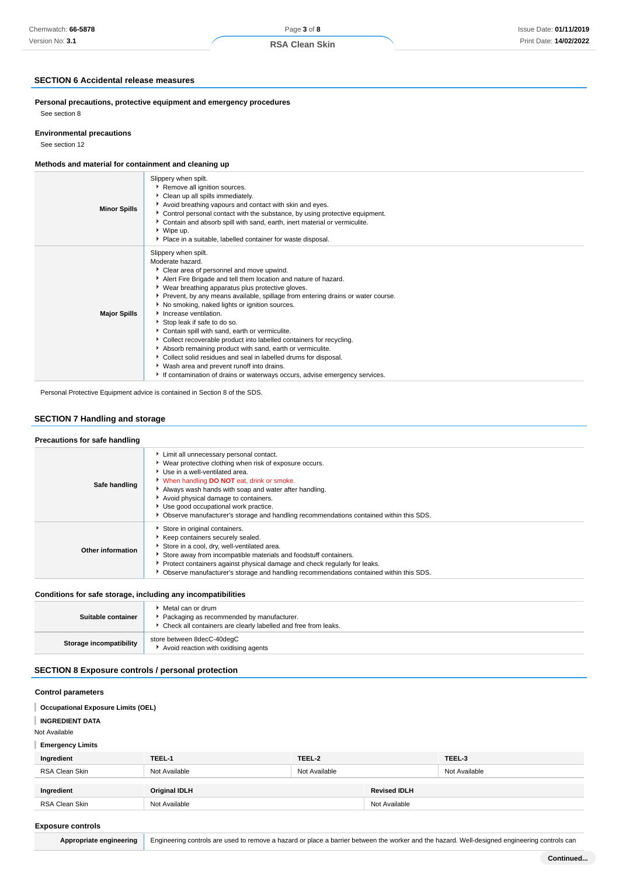### **SECTION 6 Accidental release measures**

**Personal precautions, protective equipment and emergency procedures** See section 8

#### **Environmental precautions**

See section 12

### **Methods and material for containment and cleaning up**

| <b>Minor Spills</b> | Slippery when spilt.<br>Remove all ignition sources.<br>Clean up all spills immediately.<br>Avoid breathing vapours and contact with skin and eyes.<br>Control personal contact with the substance, by using protective equipment.<br>Contain and absorb spill with sand, earth, inert material or vermiculite.<br>▶ Wipe up.<br>• Place in a suitable, labelled container for waste disposal.                                                                                                                                                                                                                                                                                                                                                                                                    |
|---------------------|---------------------------------------------------------------------------------------------------------------------------------------------------------------------------------------------------------------------------------------------------------------------------------------------------------------------------------------------------------------------------------------------------------------------------------------------------------------------------------------------------------------------------------------------------------------------------------------------------------------------------------------------------------------------------------------------------------------------------------------------------------------------------------------------------|
| <b>Major Spills</b> | Slippery when spilt.<br>Moderate hazard.<br>Clear area of personnel and move upwind.<br>Alert Fire Brigade and tell them location and nature of hazard.<br>▶ Wear breathing apparatus plus protective gloves.<br>Prevent, by any means available, spillage from entering drains or water course.<br>▶ No smoking, naked lights or ignition sources.<br>Increase ventilation.<br>Stop leak if safe to do so.<br>Contain spill with sand, earth or vermiculite.<br>Collect recoverable product into labelled containers for recycling.<br>Absorb remaining product with sand, earth or vermiculite.<br>Collect solid residues and seal in labelled drums for disposal.<br>▶ Wash area and prevent runoff into drains.<br>If contamination of drains or waterways occurs, advise emergency services. |

Personal Protective Equipment advice is contained in Section 8 of the SDS.

### **SECTION 7 Handling and storage**

### **Precautions for safe handling**

| Safe handling     | Limit all unnecessary personal contact.<br>▶ Wear protective clothing when risk of exposure occurs.<br>Use in a well-ventilated area.<br>When handling <b>DO NOT</b> eat, drink or smoke.<br>Always wash hands with soap and water after handling.<br>Avoid physical damage to containers.<br>Use good occupational work practice.<br>▶ Observe manufacturer's storage and handling recommendations contained within this SDS. |
|-------------------|--------------------------------------------------------------------------------------------------------------------------------------------------------------------------------------------------------------------------------------------------------------------------------------------------------------------------------------------------------------------------------------------------------------------------------|
| Other information | Store in original containers.<br>▶ Keep containers securely sealed.<br>Store in a cool, dry, well-ventilated area.<br>Store away from incompatible materials and foodstuff containers.<br>Protect containers against physical damage and check regularly for leaks.<br>• Observe manufacturer's storage and handling recommendations contained within this SDS.                                                                |

### **Conditions for safe storage, including any incompatibilities**

| Suitable container      | Metal can or drum<br>Packaging as recommended by manufacturer.<br>• Check all containers are clearly labelled and free from leaks. |  |
|-------------------------|------------------------------------------------------------------------------------------------------------------------------------|--|
| Storage incompatibility | store between 8decC-40deqC<br>Avoid reaction with oxidising agents                                                                 |  |

### **SECTION 8 Exposure controls / personal protection**

### **Control parameters**

#### **Occupational Exposure Limits (OEL)** ı

**INGREDIENT DATA**

Not Available

### **Emergency Limits**

| Ingredient     | TEEL-1        | TEEL-2        |                     | TEEL-3        |
|----------------|---------------|---------------|---------------------|---------------|
| RSA Clean Skin | Not Available | Not Available |                     | Not Available |
|                |               |               |                     |               |
| Ingredient     | Original IDLH |               | <b>Revised IDLH</b> |               |
| RSA Clean Skin | Not Available |               | Not Available       |               |

#### **Exposure controls**

Appropriate engineering Engineering controls are used to remove a hazard or place a barrier between the worker and the hazard. Well-designed engineering controls can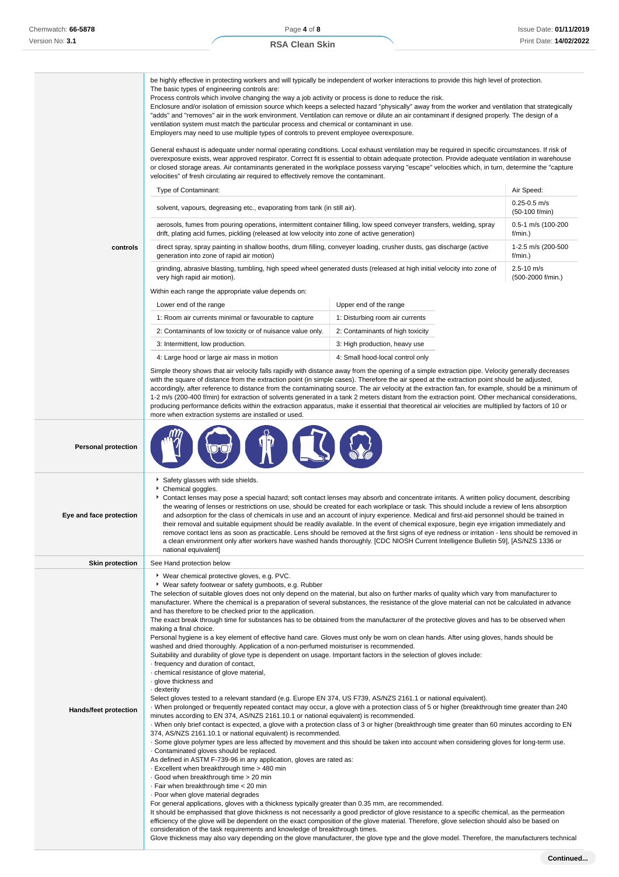|                            | be highly effective in protecting workers and will typically be independent of worker interactions to provide this high level of protection.<br>The basic types of engineering controls are:<br>Process controls which involve changing the way a job activity or process is done to reduce the risk.<br>Enclosure and/or isolation of emission source which keeps a selected hazard "physically" away from the worker and ventilation that strategically<br>"adds" and "removes" air in the work environment. Ventilation can remove or dilute an air contaminant if designed properly. The design of a<br>ventilation system must match the particular process and chemical or contaminant in use.<br>Employers may need to use multiple types of controls to prevent employee overexposure.<br>General exhaust is adequate under normal operating conditions. Local exhaust ventilation may be required in specific circumstances. If risk of<br>overexposure exists, wear approved respirator. Correct fit is essential to obtain adequate protection. Provide adequate ventilation in warehouse<br>or closed storage areas. Air contaminants generated in the workplace possess varying "escape" velocities which, in turn, determine the "capture                                                                                                                                                                                                                                                                                                                                                                                                                                                                                                                                                                                                                                                                                                                                                                                                                                                                                                                                                                                                                                                                                                                                                                                                                                                                                                                                                                                         |                                  |                                     |
|----------------------------|-------------------------------------------------------------------------------------------------------------------------------------------------------------------------------------------------------------------------------------------------------------------------------------------------------------------------------------------------------------------------------------------------------------------------------------------------------------------------------------------------------------------------------------------------------------------------------------------------------------------------------------------------------------------------------------------------------------------------------------------------------------------------------------------------------------------------------------------------------------------------------------------------------------------------------------------------------------------------------------------------------------------------------------------------------------------------------------------------------------------------------------------------------------------------------------------------------------------------------------------------------------------------------------------------------------------------------------------------------------------------------------------------------------------------------------------------------------------------------------------------------------------------------------------------------------------------------------------------------------------------------------------------------------------------------------------------------------------------------------------------------------------------------------------------------------------------------------------------------------------------------------------------------------------------------------------------------------------------------------------------------------------------------------------------------------------------------------------------------------------------------------------------------------------------------------------------------------------------------------------------------------------------------------------------------------------------------------------------------------------------------------------------------------------------------------------------------------------------------------------------------------------------------------------------------------------------------------------------------------------------------------------------|----------------------------------|-------------------------------------|
|                            | velocities" of fresh circulating air required to effectively remove the contaminant.                                                                                                                                                                                                                                                                                                                                                                                                                                                                                                                                                                                                                                                                                                                                                                                                                                                                                                                                                                                                                                                                                                                                                                                                                                                                                                                                                                                                                                                                                                                                                                                                                                                                                                                                                                                                                                                                                                                                                                                                                                                                                                                                                                                                                                                                                                                                                                                                                                                                                                                                                            |                                  |                                     |
|                            | Type of Contaminant:                                                                                                                                                                                                                                                                                                                                                                                                                                                                                                                                                                                                                                                                                                                                                                                                                                                                                                                                                                                                                                                                                                                                                                                                                                                                                                                                                                                                                                                                                                                                                                                                                                                                                                                                                                                                                                                                                                                                                                                                                                                                                                                                                                                                                                                                                                                                                                                                                                                                                                                                                                                                                            |                                  | Air Speed:                          |
|                            | solvent, vapours, degreasing etc., evaporating from tank (in still air).                                                                                                                                                                                                                                                                                                                                                                                                                                                                                                                                                                                                                                                                                                                                                                                                                                                                                                                                                                                                                                                                                                                                                                                                                                                                                                                                                                                                                                                                                                                                                                                                                                                                                                                                                                                                                                                                                                                                                                                                                                                                                                                                                                                                                                                                                                                                                                                                                                                                                                                                                                        |                                  | $0.25 - 0.5$ m/s<br>(50-100 f/min)  |
|                            | aerosols, fumes from pouring operations, intermittent container filling, low speed conveyer transfers, welding, spray<br>drift, plating acid fumes, pickling (released at low velocity into zone of active generation)                                                                                                                                                                                                                                                                                                                                                                                                                                                                                                                                                                                                                                                                                                                                                                                                                                                                                                                                                                                                                                                                                                                                                                                                                                                                                                                                                                                                                                                                                                                                                                                                                                                                                                                                                                                                                                                                                                                                                                                                                                                                                                                                                                                                                                                                                                                                                                                                                          |                                  | 0.5-1 m/s (100-200<br>$f/min.$ )    |
| controls                   | direct spray, spray painting in shallow booths, drum filling, conveyer loading, crusher dusts, gas discharge (active<br>generation into zone of rapid air motion)                                                                                                                                                                                                                                                                                                                                                                                                                                                                                                                                                                                                                                                                                                                                                                                                                                                                                                                                                                                                                                                                                                                                                                                                                                                                                                                                                                                                                                                                                                                                                                                                                                                                                                                                                                                                                                                                                                                                                                                                                                                                                                                                                                                                                                                                                                                                                                                                                                                                               |                                  | 1-2.5 m/s (200-500<br>f/min.)       |
|                            | grinding, abrasive blasting, tumbling, high speed wheel generated dusts (released at high initial velocity into zone of<br>very high rapid air motion).                                                                                                                                                                                                                                                                                                                                                                                                                                                                                                                                                                                                                                                                                                                                                                                                                                                                                                                                                                                                                                                                                                                                                                                                                                                                                                                                                                                                                                                                                                                                                                                                                                                                                                                                                                                                                                                                                                                                                                                                                                                                                                                                                                                                                                                                                                                                                                                                                                                                                         |                                  | $2.5 - 10$ m/s<br>(500-2000 f/min.) |
|                            | Within each range the appropriate value depends on:                                                                                                                                                                                                                                                                                                                                                                                                                                                                                                                                                                                                                                                                                                                                                                                                                                                                                                                                                                                                                                                                                                                                                                                                                                                                                                                                                                                                                                                                                                                                                                                                                                                                                                                                                                                                                                                                                                                                                                                                                                                                                                                                                                                                                                                                                                                                                                                                                                                                                                                                                                                             |                                  |                                     |
|                            | Lower end of the range                                                                                                                                                                                                                                                                                                                                                                                                                                                                                                                                                                                                                                                                                                                                                                                                                                                                                                                                                                                                                                                                                                                                                                                                                                                                                                                                                                                                                                                                                                                                                                                                                                                                                                                                                                                                                                                                                                                                                                                                                                                                                                                                                                                                                                                                                                                                                                                                                                                                                                                                                                                                                          | Upper end of the range           |                                     |
|                            | 1: Room air currents minimal or favourable to capture                                                                                                                                                                                                                                                                                                                                                                                                                                                                                                                                                                                                                                                                                                                                                                                                                                                                                                                                                                                                                                                                                                                                                                                                                                                                                                                                                                                                                                                                                                                                                                                                                                                                                                                                                                                                                                                                                                                                                                                                                                                                                                                                                                                                                                                                                                                                                                                                                                                                                                                                                                                           | 1: Disturbing room air currents  |                                     |
|                            | 2: Contaminants of low toxicity or of nuisance value only.                                                                                                                                                                                                                                                                                                                                                                                                                                                                                                                                                                                                                                                                                                                                                                                                                                                                                                                                                                                                                                                                                                                                                                                                                                                                                                                                                                                                                                                                                                                                                                                                                                                                                                                                                                                                                                                                                                                                                                                                                                                                                                                                                                                                                                                                                                                                                                                                                                                                                                                                                                                      | 2: Contaminants of high toxicity |                                     |
|                            | 3: Intermittent, low production.                                                                                                                                                                                                                                                                                                                                                                                                                                                                                                                                                                                                                                                                                                                                                                                                                                                                                                                                                                                                                                                                                                                                                                                                                                                                                                                                                                                                                                                                                                                                                                                                                                                                                                                                                                                                                                                                                                                                                                                                                                                                                                                                                                                                                                                                                                                                                                                                                                                                                                                                                                                                                | 3: High production, heavy use    |                                     |
|                            | 4: Large hood or large air mass in motion                                                                                                                                                                                                                                                                                                                                                                                                                                                                                                                                                                                                                                                                                                                                                                                                                                                                                                                                                                                                                                                                                                                                                                                                                                                                                                                                                                                                                                                                                                                                                                                                                                                                                                                                                                                                                                                                                                                                                                                                                                                                                                                                                                                                                                                                                                                                                                                                                                                                                                                                                                                                       | 4: Small hood-local control only |                                     |
|                            | Simple theory shows that air velocity falls rapidly with distance away from the opening of a simple extraction pipe. Velocity generally decreases<br>with the square of distance from the extraction point (in simple cases). Therefore the air speed at the extraction point should be adjusted,<br>accordingly, after reference to distance from the contaminating source. The air velocity at the extraction fan, for example, should be a minimum of<br>1-2 m/s (200-400 f/min) for extraction of solvents generated in a tank 2 meters distant from the extraction point. Other mechanical considerations,<br>producing performance deficits within the extraction apparatus, make it essential that theoretical air velocities are multiplied by factors of 10 or<br>more when extraction systems are installed or used.                                                                                                                                                                                                                                                                                                                                                                                                                                                                                                                                                                                                                                                                                                                                                                                                                                                                                                                                                                                                                                                                                                                                                                                                                                                                                                                                                                                                                                                                                                                                                                                                                                                                                                                                                                                                                  |                                  |                                     |
| <b>Personal protection</b> |                                                                                                                                                                                                                                                                                                                                                                                                                                                                                                                                                                                                                                                                                                                                                                                                                                                                                                                                                                                                                                                                                                                                                                                                                                                                                                                                                                                                                                                                                                                                                                                                                                                                                                                                                                                                                                                                                                                                                                                                                                                                                                                                                                                                                                                                                                                                                                                                                                                                                                                                                                                                                                                 |                                  |                                     |
| Eye and face protection    | Safety glasses with side shields.<br>Chemical goggles.<br>Contact lenses may pose a special hazard; soft contact lenses may absorb and concentrate irritants. A written policy document, describing<br>the wearing of lenses or restrictions on use, should be created for each workplace or task. This should include a review of lens absorption<br>and adsorption for the class of chemicals in use and an account of injury experience. Medical and first-aid personnel should be trained in<br>their removal and suitable equipment should be readily available. In the event of chemical exposure, begin eye irrigation immediately and<br>remove contact lens as soon as practicable. Lens should be removed at the first signs of eye redness or irritation - lens should be removed in<br>a clean environment only after workers have washed hands thoroughly. [CDC NIOSH Current Intelligence Bulletin 59], [AS/NZS 1336 or<br>national equivalent]                                                                                                                                                                                                                                                                                                                                                                                                                                                                                                                                                                                                                                                                                                                                                                                                                                                                                                                                                                                                                                                                                                                                                                                                                                                                                                                                                                                                                                                                                                                                                                                                                                                                                   |                                  |                                     |
| <b>Skin protection</b>     | See Hand protection below                                                                                                                                                                                                                                                                                                                                                                                                                                                                                                                                                                                                                                                                                                                                                                                                                                                                                                                                                                                                                                                                                                                                                                                                                                                                                                                                                                                                                                                                                                                                                                                                                                                                                                                                                                                                                                                                                                                                                                                                                                                                                                                                                                                                                                                                                                                                                                                                                                                                                                                                                                                                                       |                                  |                                     |
| Hands/feet protection      | ▶ Wear chemical protective gloves, e.g. PVC.<br>▶ Wear safety footwear or safety gumboots, e.g. Rubber<br>The selection of suitable gloves does not only depend on the material, but also on further marks of quality which vary from manufacturer to<br>manufacturer. Where the chemical is a preparation of several substances, the resistance of the glove material can not be calculated in advance<br>and has therefore to be checked prior to the application.<br>The exact break through time for substances has to be obtained from the manufacturer of the protective gloves and has to be observed when<br>making a final choice.<br>Personal hygiene is a key element of effective hand care. Gloves must only be worn on clean hands. After using gloves, hands should be<br>washed and dried thoroughly. Application of a non-perfumed moisturiser is recommended.<br>Suitability and durability of glove type is dependent on usage. Important factors in the selection of gloves include:<br>frequency and duration of contact,<br>⋅ chemical resistance of glove material,<br>· glove thickness and<br>· dexterity<br>Select gloves tested to a relevant standard (e.g. Europe EN 374, US F739, AS/NZS 2161.1 or national equivalent).<br>When prolonged or frequently repeated contact may occur, a glove with a protection class of 5 or higher (breakthrough time greater than 240<br>minutes according to EN 374, AS/NZS 2161.10.1 or national equivalent) is recommended.<br>When only brief contact is expected, a glove with a protection class of 3 or higher (breakthrough time greater than 60 minutes according to EN<br>374, AS/NZS 2161.10.1 or national equivalent) is recommended.<br>. Some glove polymer types are less affected by movement and this should be taken into account when considering gloves for long-term use.<br>Contaminated gloves should be replaced.<br>As defined in ASTM F-739-96 in any application, gloves are rated as:<br>Excellent when breakthrough time > 480 min<br>Good when breakthrough time > 20 min<br>⋅ Fair when breakthrough time < 20 min<br>. Poor when glove material degrades<br>For general applications, gloves with a thickness typically greater than 0.35 mm, are recommended.<br>It should be emphasised that glove thickness is not necessarily a good predictor of glove resistance to a specific chemical, as the permeation<br>efficiency of the glove will be dependent on the exact composition of the glove material. Therefore, glove selection should also be based on<br>consideration of the task requirements and knowledge of breakthrough times. |                                  |                                     |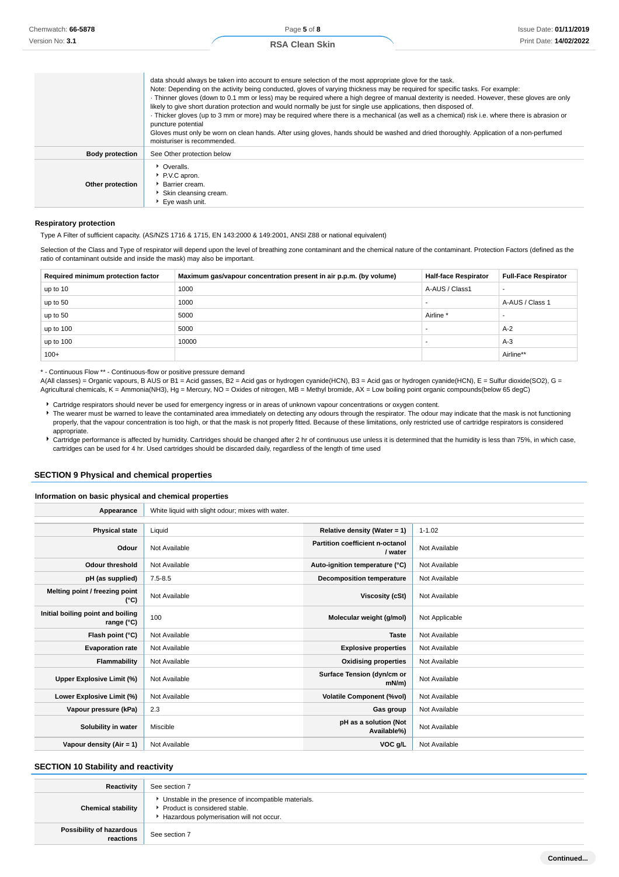|                        | data should always be taken into account to ensure selection of the most appropriate glove for the task.<br>Note: Depending on the activity being conducted, gloves of varying thickness may be required for specific tasks. For example:<br>· Thinner gloves (down to 0.1 mm or less) may be required where a high degree of manual dexterity is needed. However, these gloves are only<br>likely to give short duration protection and would normally be just for single use applications, then disposed of.<br>· Thicker gloves (up to 3 mm or more) may be required where there is a mechanical (as well as a chemical) risk i.e. where there is abrasion or<br>puncture potential<br>Gloves must only be worn on clean hands. After using gloves, hands should be washed and dried thoroughly. Application of a non-perfumed<br>moisturiser is recommended. |
|------------------------|------------------------------------------------------------------------------------------------------------------------------------------------------------------------------------------------------------------------------------------------------------------------------------------------------------------------------------------------------------------------------------------------------------------------------------------------------------------------------------------------------------------------------------------------------------------------------------------------------------------------------------------------------------------------------------------------------------------------------------------------------------------------------------------------------------------------------------------------------------------|
| <b>Body protection</b> | See Other protection below                                                                                                                                                                                                                                                                                                                                                                                                                                                                                                                                                                                                                                                                                                                                                                                                                                       |
| Other protection       | • Overalls.<br>P.V.C apron.<br>Barrier cream.<br>Skin cleansing cream.<br>▶ Eve wash unit.                                                                                                                                                                                                                                                                                                                                                                                                                                                                                                                                                                                                                                                                                                                                                                       |

#### **Respiratory protection**

Type A Filter of sufficient capacity. (AS/NZS 1716 & 1715, EN 143:2000 & 149:2001, ANSI Z88 or national equivalent)

Selection of the Class and Type of respirator will depend upon the level of breathing zone contaminant and the chemical nature of the contaminant. Protection Factors (defined as the ratio of contaminant outside and inside the mask) may also be important.

| Required minimum protection factor | Maximum gas/vapour concentration present in air p.p.m. (by volume) | <b>Half-face Respirator</b> | <b>Full-Face Respirator</b> |
|------------------------------------|--------------------------------------------------------------------|-----------------------------|-----------------------------|
| up to 10                           | 1000                                                               | A-AUS / Class1              |                             |
| up to 50                           | 1000                                                               |                             | A-AUS / Class 1             |
| up to 50                           | 5000                                                               | Airline <sup>*</sup>        |                             |
| up to 100                          | 5000                                                               |                             | $A-2$                       |
| up to 100                          | 10000                                                              |                             | $A-3$                       |
| $100+$                             |                                                                    |                             | Airline**                   |

\* - Continuous Flow \*\* - Continuous-flow or positive pressure demand

A(All classes) = Organic vapours, B AUS or B1 = Acid gasses, B2 = Acid gas or hydrogen cyanide(HCN), B3 = Acid gas or hydrogen cyanide(HCN), E = Sulfur dioxide(SO2), G = Agricultural chemicals, K = Ammonia(NH3), Hg = Mercury, NO = Oxides of nitrogen, MB = Methyl bromide, AX = Low boiling point organic compounds(below 65 degC)

- Cartridge respirators should never be used for emergency ingress or in areas of unknown vapour concentrations or oxygen content.
- The wearer must be warned to leave the contaminated area immediately on detecting any odours through the respirator. The odour may indicate that the mask is not functioning properly, that the vapour concentration is too high, or that the mask is not properly fitted. Because of these limitations, only restricted use of cartridge respirators is considered appropriate.
- Cartridge performance is affected by humidity. Cartridges should be changed after 2 hr of continuous use unless it is determined that the humidity is less than 75%, in which case, cartridges can be used for 4 hr. Used cartridges should be discarded daily, regardless of the length of time used

### **SECTION 9 Physical and chemical properties**

#### **Information on basic physical and chemical properties**

| Appearance                                      | White liquid with slight odour; mixes with water. |                                            |                |
|-------------------------------------------------|---------------------------------------------------|--------------------------------------------|----------------|
|                                                 |                                                   |                                            |                |
| <b>Physical state</b>                           | Liquid                                            | Relative density (Water = $1$ )            | $1 - 1.02$     |
| Odour                                           | Not Available                                     | Partition coefficient n-octanol<br>/ water | Not Available  |
| <b>Odour threshold</b>                          | Not Available                                     | Auto-ignition temperature (°C)             | Not Available  |
| pH (as supplied)                                | $7.5 - 8.5$                                       | <b>Decomposition temperature</b>           | Not Available  |
| Melting point / freezing point<br>(°C)          | Not Available                                     | <b>Viscosity (cSt)</b>                     | Not Available  |
| Initial boiling point and boiling<br>range (°C) | 100                                               | Molecular weight (g/mol)                   | Not Applicable |
| Flash point (°C)                                | Not Available                                     | <b>Taste</b>                               | Not Available  |
| <b>Evaporation rate</b>                         | Not Available                                     | <b>Explosive properties</b>                | Not Available  |
| Flammability                                    | Not Available                                     | <b>Oxidising properties</b>                | Not Available  |
| Upper Explosive Limit (%)                       | Not Available                                     | Surface Tension (dyn/cm or<br>$mN/m$ )     | Not Available  |
| Lower Explosive Limit (%)                       | Not Available                                     | <b>Volatile Component (%vol)</b>           | Not Available  |
| Vapour pressure (kPa)                           | 2.3                                               | Gas group                                  | Not Available  |
| Solubility in water                             | Miscible                                          | pH as a solution (Not<br>Available%)       | Not Available  |
| Vapour density (Air = 1)                        | Not Available                                     | VOC g/L                                    | Not Available  |

### **SECTION 10 Stability and reactivity**

| Reactivity                            | See section 7                                                                                                                    |
|---------------------------------------|----------------------------------------------------------------------------------------------------------------------------------|
| <b>Chemical stability</b>             | Unstable in the presence of incompatible materials.<br>Product is considered stable.<br>Hazardous polymerisation will not occur. |
| Possibility of hazardous<br>reactions | See section 7                                                                                                                    |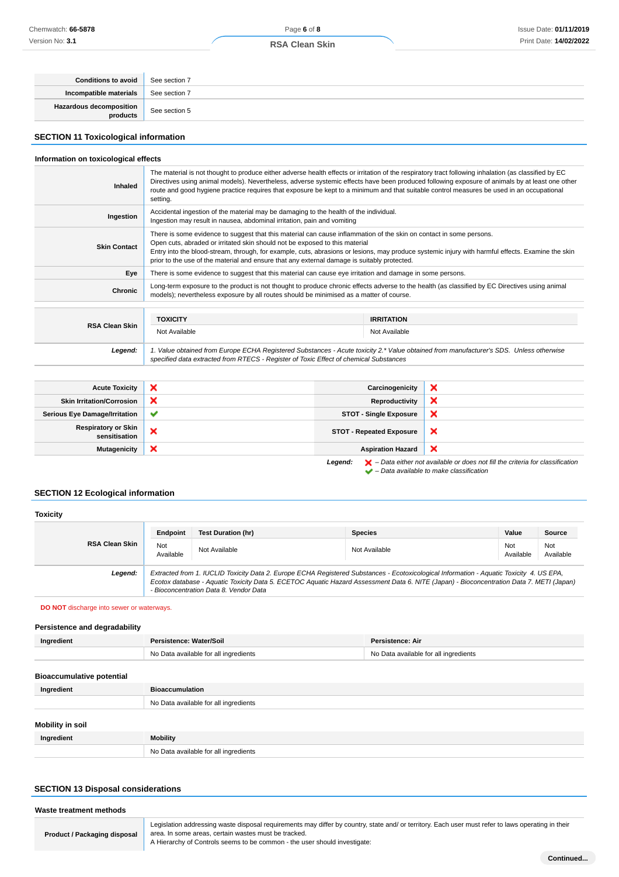| <b>Conditions to avoid</b> See section 7 |               |
|------------------------------------------|---------------|
| Incompatible materials                   | See section 7 |
| Hazardous decomposition<br>products      | See section 5 |

### **SECTION 11 Toxicological information**

### **Information on toxicological effects**

| <b>Inhaled</b>        | The material is not thought to produce either adverse health effects or irritation of the respiratory tract following inhalation (as classified by EC<br>Directives using animal models). Nevertheless, adverse systemic effects have been produced following exposure of animals by at least one other<br>route and good hygiene practice requires that exposure be kept to a minimum and that suitable control measures be used in an occupational<br>setting. |                   |
|-----------------------|------------------------------------------------------------------------------------------------------------------------------------------------------------------------------------------------------------------------------------------------------------------------------------------------------------------------------------------------------------------------------------------------------------------------------------------------------------------|-------------------|
| Ingestion             | Accidental ingestion of the material may be damaging to the health of the individual.<br>Ingestion may result in nausea, abdominal irritation, pain and vomiting                                                                                                                                                                                                                                                                                                 |                   |
| <b>Skin Contact</b>   | There is some evidence to suggest that this material can cause inflammation of the skin on contact in some persons.<br>Open cuts, abraded or irritated skin should not be exposed to this material<br>Entry into the blood-stream, through, for example, cuts, abrasions or lesions, may produce systemic injury with harmful effects. Examine the skin<br>prior to the use of the material and ensure that any external damage is suitably protected.           |                   |
| Eye                   | There is some evidence to suggest that this material can cause eye irritation and damage in some persons.                                                                                                                                                                                                                                                                                                                                                        |                   |
| Chronic               | Long-term exposure to the product is not thought to produce chronic effects adverse to the health (as classified by EC Directives using animal<br>models); nevertheless exposure by all routes should be minimised as a matter of course.                                                                                                                                                                                                                        |                   |
|                       |                                                                                                                                                                                                                                                                                                                                                                                                                                                                  |                   |
|                       | <b>TOXICITY</b>                                                                                                                                                                                                                                                                                                                                                                                                                                                  | <b>IRRITATION</b> |
| <b>RSA Clean Skin</b> | Not Available                                                                                                                                                                                                                                                                                                                                                                                                                                                    | Not Available     |
| Legend:               | 1. Value obtained from Europe ECHA Registered Substances - Acute toxicity 2.* Value obtained from manufacturer's SDS. Unless otherwise                                                                                                                                                                                                                                                                                                                           |                   |

| <b>Acute Toxicity</b>                       | ×            | Carcinogenicity                 | ×                                                                                                  |
|---------------------------------------------|--------------|---------------------------------|----------------------------------------------------------------------------------------------------|
| <b>Skin Irritation/Corrosion</b>            | ×            | Reproductivity                  | ×                                                                                                  |
| <b>Serious Eye Damage/Irritation</b>        | $\checkmark$ | <b>STOT - Single Exposure</b>   | ×                                                                                                  |
| <b>Respiratory or Skin</b><br>sensitisation | ×            | <b>STOT - Repeated Exposure</b> | $\boldsymbol{\mathsf{x}}$                                                                          |
| <b>Mutagenicity</b>                         | ×            | <b>Aspiration Hazard</b>        | ×                                                                                                  |
|                                             |              | Legend:                         | $\blacktriangleright$ - Data either not available or does not fill the criteria for classification |

specified data extracted from RTECS - Register of Toxic Effect of chemical Substances

 $\blacktriangleright$  – Data either not available to make classification<br> $\blacktriangleright$  – Data available to make classification

### **SECTION 12 Ecological information**

#### **Toxicity RSA Clean Skin Endpoint Test Duration (hr) Species Value Source** Not Not Not Available Not Available Not Available Not Available Not Available Not Ava<br>Available Ava Available Not Available **Legend:** Extracted from 1. IUCLID Toxicity Data 2. Europe ECHA Registered Substances - Ecotoxicological Information - Aquatic Toxicity 4. US EPA, Ecotox database - Aquatic Toxicity Data 5. ECETOC Aquatic Hazard Assessment Data 6. NITE (Japan) - Bioconcentration Data 7. METI (Japan) - Bioconcentration Data 8. Vendor Data

**DO NOT** discharge into sewer or waterways.

### **Persistence and degradability**

| Ingredient                       | Persistence: Water/Soil               | Persistence: Air                      |
|----------------------------------|---------------------------------------|---------------------------------------|
|                                  | No Data available for all ingredients | No Data available for all ingredients |
| <b>Bioaccumulative potential</b> |                                       |                                       |
| Ingredient                       | <b>Bioaccumulation</b>                |                                       |

| $\cdot$                 |                                       |
|-------------------------|---------------------------------------|
|                         | No Data available for all ingredients |
|                         |                                       |
| <b>Mobility in soil</b> |                                       |
| Ingredient              | Mobility                              |
|                         | No Data available for all ingredients |

#### **SECTION 13 Disposal considerations**

| Waste treatment methods             |                                                                                                                                                                                                                                                                                         |
|-------------------------------------|-----------------------------------------------------------------------------------------------------------------------------------------------------------------------------------------------------------------------------------------------------------------------------------------|
| <b>Product / Packaging disposal</b> | Legislation addressing waste disposal requirements may differ by country, state and/ or territory. Each user must refer to laws operating in their<br>area. In some areas, certain wastes must be tracked.<br>A Hierarchy of Controls seems to be common - the user should investigate: |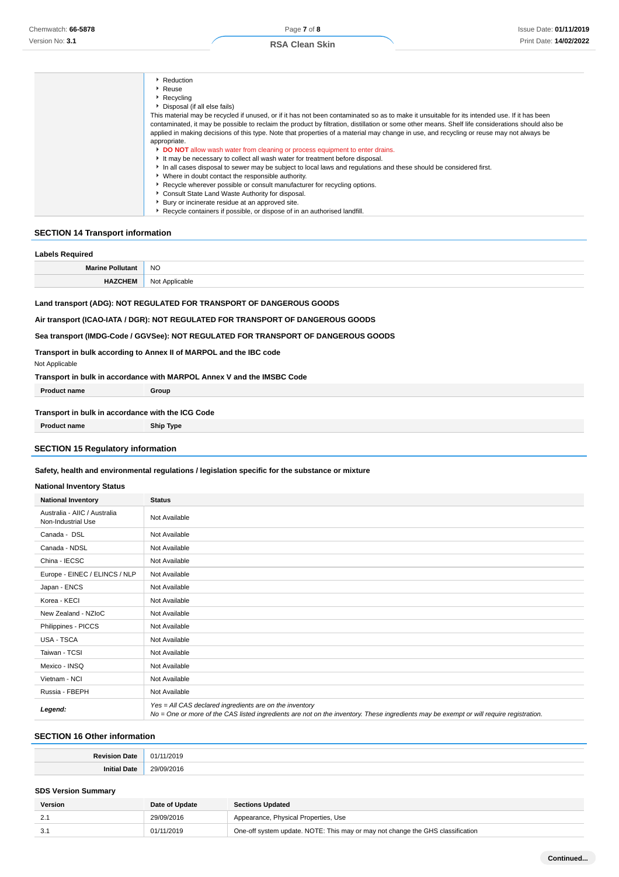| Reduction                                                                                                                                         |
|---------------------------------------------------------------------------------------------------------------------------------------------------|
| $\cdot$ Reuse                                                                                                                                     |
| $\cdot$ Recycling                                                                                                                                 |
| Disposal (if all else fails)                                                                                                                      |
| This material may be recycled if unused, or if it has not been contaminated so as to make it unsuitable for its intended use. If it has been      |
| contaminated, it may be possible to reclaim the product by filtration, distillation or some other means. Shelf life considerations should also be |
| applied in making decisions of this type. Note that properties of a material may change in use, and recycling or reuse may not always be          |
| appropriate.                                                                                                                                      |
| <b>DO NOT</b> allow wash water from cleaning or process equipment to enter drains.                                                                |
| It may be necessary to collect all wash water for treatment before disposal.                                                                      |
| In all cases disposal to sewer may be subject to local laws and regulations and these should be considered first.                                 |
| • Where in doubt contact the responsible authority.                                                                                               |
| ▶ Recycle wherever possible or consult manufacturer for recycling options.                                                                        |
| Consult State Land Waste Authority for disposal.                                                                                                  |
| Bury or incinerate residue at an approved site.                                                                                                   |
| ▶ Recycle containers if possible, or dispose of in an authorised landfill.                                                                        |
|                                                                                                                                                   |

### **SECTION 14 Transport information**

| <b>Labels Required</b>                                                                                                                                                                                                                        |                |  |  |  |
|-----------------------------------------------------------------------------------------------------------------------------------------------------------------------------------------------------------------------------------------------|----------------|--|--|--|
| <b>Marine Pollutant</b>                                                                                                                                                                                                                       | <b>NO</b>      |  |  |  |
| <b>HAZCHEM</b>                                                                                                                                                                                                                                | Not Applicable |  |  |  |
| Land transport (ADG): NOT REGULATED FOR TRANSPORT OF DANGEROUS GOODS<br>Air transport (ICAO-IATA / DGR): NOT REGULATED FOR TRANSPORT OF DANGEROUS GOODS<br>Sea transport (IMDG-Code / GGVSee): NOT REGULATED FOR TRANSPORT OF DANGEROUS GOODS |                |  |  |  |
| Transport in bulk according to Annex II of MARPOL and the IBC code                                                                                                                                                                            |                |  |  |  |
| Not Applicable                                                                                                                                                                                                                                |                |  |  |  |

### **Transport in bulk in accordance with MARPOL Annex V and the IMSBC Code**

| <b>Product name</b>                               | Group |
|---------------------------------------------------|-------|
| Transport in bulk in accordance with the ICG Code |       |

**Product name Ship Type**

### **SECTION 15 Regulatory information**

### **Safety, health and environmental regulations / legislation specific for the substance or mixture**

### **National Inventory Status**

| <b>National Inventory</b>                          | <b>Status</b>                                                                                                                                                                                     |  |  |  |
|----------------------------------------------------|---------------------------------------------------------------------------------------------------------------------------------------------------------------------------------------------------|--|--|--|
| Australia - AIIC / Australia<br>Non-Industrial Use | Not Available                                                                                                                                                                                     |  |  |  |
| Canada - DSL                                       | Not Available                                                                                                                                                                                     |  |  |  |
| Canada - NDSL                                      | Not Available                                                                                                                                                                                     |  |  |  |
| China - IECSC                                      | Not Available                                                                                                                                                                                     |  |  |  |
| Europe - EINEC / ELINCS / NLP                      | Not Available                                                                                                                                                                                     |  |  |  |
| Japan - ENCS                                       | Not Available                                                                                                                                                                                     |  |  |  |
| Korea - KECI                                       | Not Available                                                                                                                                                                                     |  |  |  |
| New Zealand - NZIoC                                | Not Available                                                                                                                                                                                     |  |  |  |
| Philippines - PICCS                                | Not Available                                                                                                                                                                                     |  |  |  |
| USA - TSCA                                         | Not Available                                                                                                                                                                                     |  |  |  |
| Taiwan - TCSI                                      | Not Available                                                                                                                                                                                     |  |  |  |
| Mexico - INSQ                                      | Not Available                                                                                                                                                                                     |  |  |  |
| Vietnam - NCI                                      | Not Available                                                                                                                                                                                     |  |  |  |
| Russia - FBEPH                                     | Not Available                                                                                                                                                                                     |  |  |  |
| Legend:                                            | Yes = All CAS declared ingredients are on the inventory<br>No = One or more of the CAS listed ingredients are not on the inventory. These ingredients may be exempt or will require registration. |  |  |  |

### **SECTION 16 Other information**

| <b>Dovision</b><br>۱af<br>- au | 11/2019<br>01 |
|--------------------------------|---------------|
| .<br>.<br>l lat<br>. .         | 20h<br>- 71   |

### **SDS Version Summary**

| Version | Date of Update | <b>Sections Updated</b>                                                        |
|---------|----------------|--------------------------------------------------------------------------------|
| 2.7     | 29/09/2016     | Appearance, Physical Properties, Use                                           |
| 3.1     | 01/11/2019     | One-off system update. NOTE: This may or may not change the GHS classification |